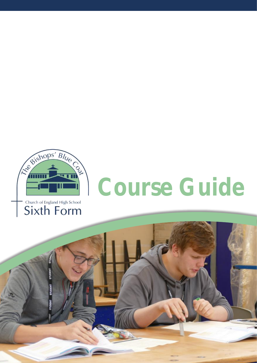



# **Course Guide**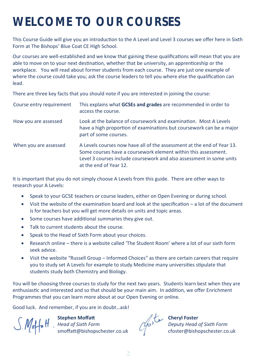# **WELCOME TO OUR COURSES**

This Course Guide will give you an introduction to the A Level and Level 3 courses we offer here in Sixth Form at The Bishops' Blue Coat CE High School.

Our courses are well-established and we know that gaining these qualifications will mean that you are able to move on to your next destination, whether that be university, an apprenticeship or the workplace. You will read about former students from each course. They are just one example of where the course could take you; ask the course leaders to tell you where else the qualification can lead.

There are three key facts that you should note if you are interested in joining the course:

| Course entry requirement | This explains what GCSEs and grades are recommended in order to<br>access the course.                                                                                                                                                      |
|--------------------------|--------------------------------------------------------------------------------------------------------------------------------------------------------------------------------------------------------------------------------------------|
| How you are assessed     | Look at the balance of coursework and examination. Most A Levels<br>have a high proportion of examinations but coursework can be a major<br>part of some courses.                                                                          |
| When you are assessed    | A Levels courses now have all of the assessment at the end of Year 13.<br>Some courses have a coursework element within this assessment.<br>Level 3 courses include coursework and also assessment in some units<br>at the end of Year 12. |

It is important that you do not simply choose A Levels from this guide. There are other ways to research your A Levels:

- Speak to your GCSE teachers or course leaders, either on Open Evening or during school.
- Visit the website of the examination board and look at the specification a lot of the document is for teachers but you will get more details on units and topic areas.
- Some courses have additional summaries they give out.
- Talk to current students about the course.
- Speak to the Head of Sixth Form about your choices.
- Research online there is a website called 'The Student Room' where a lot of our sixth form seek advice.
- Visit the website "Russell Group Informed Choices" as there are certain careers that require you to study set A Levels for example to study Medicine many universities stipulate that students study both Chemistry and Biology.

You will be choosing three courses to study for the next two years. Students learn best when they are enthusiastic and interested and so that should be your main aim. In addition, we offer Enrichment Programmes that you can learn more about at our Open Evening or online.

Good luck. And remember, if you are in doubt…ask!

**Stephen Moffatt Cheryl Foster** *Head of Sixth Form Deputy Head of Sixth Form* smoffatt@bishopschester.co.uk cfoster@bishopschester.co.uk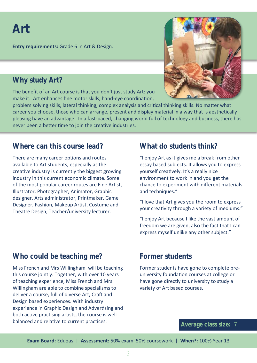## **Art**

**Entry requirements:** Grade 6 in Art & Design.

#### **Why study Art?**

The benefit of an Art course is that you don't just study Art: you make it. Art enhances fine motor skills, hand-eye coordination,



problem solving skills, lateral thinking, complex analysis and critical thinking skills. No matter what career you choose, those who can arrange, present and display material in a way that is aesthetically pleasing have an advantage. In a fast-paced, changing world full of technology and business, there has never been a better time to join the creative industries.

#### **Where can this course lead?**

There are many career options and routes available to Art students, especially as the creative industry is currently the biggest growing industry in this current economic climate. Some of the most popular career routes are Fine Artist, Illustrator, Photographer, Animator, Graphic designer, Arts administrator, Printmaker, Game Designer, Fashion, Makeup Artist, Costume and Theatre Design, Teacher/university lecturer.

#### **What do students think?**

"I enjoy Art as it gives me a break from other essay based subjects. It allows you to express yourself creatively. It's a really nice environment to work in and you get the chance to experiment with different materials and techniques."

"I love that Art gives you the room to express your creativity through a variety of mediums."

"I enjoy Art because I like the vast amount of freedom we are given, also the fact that I can express myself unlike any other subject."

#### **Who could be teaching me?**

Miss French and Mrs Willingham will be teaching this course jointly. Together, with over 10 years of teaching experience, Miss French and Mrs Willingham are able to combine specialisms to deliver a course, full of diverse Art, Craft and Design based experiences. With industry experience in Graphic Design and Advertising and both active practising artists, the course is well balanced and relative to current practices.

#### **Former students**

Former students have gone to complete preuniversity foundation courses at college or have gone directly to university to study a variety of Art based courses.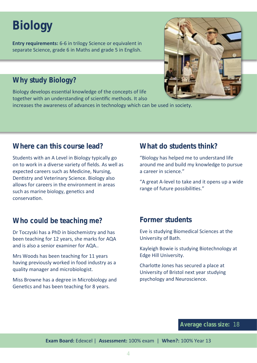# **Biology**

**Entry requirements:** 6-6 in trilogy Science or equivalent in separate Science, grade 6 in Maths and grade 5 in English.

#### **Why study Biology?**

Biology develops essential knowledge of the concepts of life together with an understanding of scientific methods. It also

increases the awareness of advances in technology which can be used in society.



#### **Where can this course lead?**

Students with an A Level in Biology typically go on to work in a diverse variety of fields. As well as expected careers such as Medicine, Nursing, Dentistry and Veterinary Science. Biology also allows for careers in the environment in areas such as marine biology, genetics and conservation.

#### **What do students think?**

"Biology has helped me to understand life around me and build my knowledge to pursue a career in science."

"A great A-level to take and it opens up a wide range of future possibilities."

#### **Who could be teaching me?**

Dr Toczyski has a PhD in biochemistry and has been teaching for 12 years, she marks for AQA and is also a senior examiner for AQA..

Mrs Woods has been teaching for 11 years having previously worked in food industry as a quality manager and microbiologist.

Miss Browne has a degree in Microbiology and Genetics and has been teaching for 8 years.

#### **Former students**

Eve is studying Biomedical Sciences at the University of Bath.

Kayleigh Bowie is studying Biotechnology at Edge Hill University.

Charlotte Jones has secured a place at University of Bristol next year studying psychology and Neuroscience.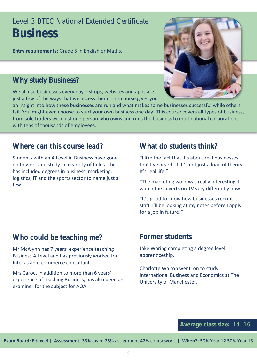### Level 3 BTEC National Extended Certificate **Business**

**Entry requirements:** Grade 5 in English or Maths.

#### **Why study Business?**

We all use businesses every day – shops, websites and apps are just a few of the ways that we access them. This course gives you



an insight into how these businesses are run and what makes some businesses successful while others fail. You might even choose to start your own business one day! This course covers all types of business, from sole traders with just one person who owns and runs the business to multinational corporations with tens of thousands of employees.

#### **Where can this course lead?**

Students with an A Level in Business have gone on to work and study in a variety of fields. This has included degrees in business, marketing, logistics, IT and the sports sector to name just a few.

#### **What do students think?**

"I like the fact that it's about real businesses that I've heard of. It's not just a load of theory. It's real life."

"The marketing work was really interesting. I watch the adverts on TV very differently now."

"It's good to know how businesses recruit staff. I'll be looking at my notes before I apply for a job in future!"

#### **Who could be teaching me?**

Mr McAlynn has 7 years' experience teaching Business A Level and has previously worked for Intel as an e-commerce consultant.

Mrs Caroe, in addition to more than 6 years' experience of teaching Business, has also been an examiner for the subject for AQA.

#### **Former students**

Jake Waring completing a degree level apprenticeship.

Charlotte Walton went on to study International Business and Economics at The University of Manchester.

#### **Average class size:** 14 -16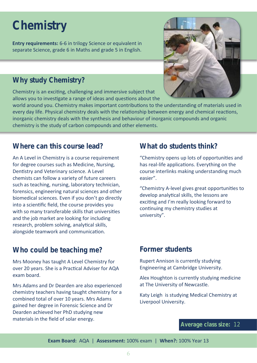# **Chemistry**

**Entry requirements:** 6-6 in trilogy Science or equivalent in separate Science, grade 6 in Maths and grade 5 in English.

#### **Why study Chemistry?**

Chemistry is an exciting, challenging and immersive subject that allows you to investigate a range of ideas and questions about the



world around you. Chemistry makes important contributions to the understanding of materials used in every day life. Physical chemistry deals with the relationship between energy and chemical reactions, inorganic chemistry deals with the synthesis and behaviour of inorganic compounds and organic chemistry is the study of carbon compounds and other elements.

#### **Where can this course lead?**

An A Level in Chemistry is a course requirement for degree courses such as Medicine, Nursing, Dentistry and Veterinary science. A Level chemists can follow a variety of future careers such as teaching, nursing, laboratory technician, forensics, engineering natural sciences and other biomedical sciences. Even if you don't go directly into a scientific field, the course provides you with so many transferable skills that universities and the job market are looking for including research, problem solving, analytical skills, alongside teamwork and communication.

#### **Who could be teaching me?**

Mrs Mooney has taught A Level Chemistry for over 20 years. She is a Practical Adviser for AQA exam board.

Mrs Adams and Dr Dearden are also experienced chemistry teachers having taught chemistry for a combined total of over 10 years. Mrs Adams gained her degree in Forensic Science and Dr Dearden achieved her PhD studying new materials in the field of solar energy.

#### **What do students think?**

"Chemistry opens up lots of opportunities and has real-life applications. Everything on the course interlinks making understanding much easier".

"Chemistry A-level gives great opportunities to develop analytical skills, the lessons are exciting and I'm really looking forward to continuing my chemistry studies at university".

#### **Former students**

Rupert Annison is currently studying Engineering at Cambridge University.

Alex Houghton is currently studying medicine at The University of Newcastle.

Katy Leigh is studying Medical Chemistry at Liverpool University.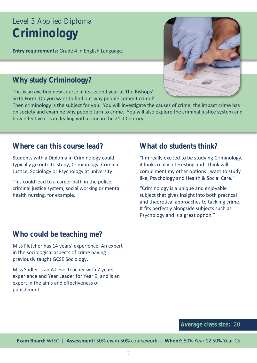### Level 3 Applied Diploma **Criminology**

**Entry requirements:** Grade 4 in English Language.

#### **Why study Criminology?**

This is an exciting new course in its second year at The Bishops' Sixth Form. Do you want to find out why people commit crime?



Then criminology is the subject for you. You will investigate the causes of crime; the impact crime has on society and examine why people turn to crime. You will also explore the criminal justice system and how effective it is in dealing with crime in the 21st Century.

#### **Where can this course lead?**

Students with a Diploma in Criminology could typically go onto to study, Criminology, Criminal Justice, Sociology or Psychology at university.

This could lead to a career path in the police, criminal justice system, social working or mental health nursing, for example.

#### **What do students think?**

"I'm really excited to be studying Criminology, it looks really interesting and I think will compliment my other options I want to study like, Psychology and Health & Social Care."

"Criminology is a unique and enjoyable subject that gives insight into both practical and theoretical approaches to tackling crime. It fits perfectly alongside subjects such as Psychology and is a great option."

#### **Who could be teaching me?**

Miss Fletcher has 14 years' experience. An expert in the sociological aspects of crime having previously taught GCSE Sociology.

Miss Sadler is an A Level teacher with 7 years' experience and Year Leader for Year 9, and is an expert in the aims and effectiveness of punishment.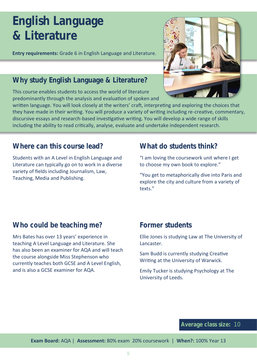# **English Language & Literature**

**Entry requirements:** Grade 6 in English Language and Literature.

#### **Why study English Language & Literature?**

This course enables students to access the world of literature predominantly through the analysis and evaluation of spoken and



written language. You will look closely at the writers' craft, interpreting and exploring the choices that they have made in their writing. You will produce a variety of writing including re-creative, commentary, discursive essays and research-based investigative writing. You will develop a wide range of skills including the ability to read critically, analyse, evaluate and undertake independent research.

#### **Where can this course lead?**

Students with an A Level in English Language and Literature can typically go on to work in a diverse variety of fields including Journalism, Law, Teaching, Media and Publishing.

#### **What do students think?**

"I am loving the coursework unit where I get to choose my own book to explore."

"You get to metaphorically dive into Paris and explore the city and culture from a variety of texts."

#### **Who could be teaching me?**

Mrs Bates has over 13 years' experience in teaching A Level Language and Literature. She has also been an examiner for AQA and will teach the course alongside Miss Stephenson who currently teaches both GCSE and A Level English, and is also a GCSE examiner for AQA.

#### **Former students**

Ellie Jones is studying Law at The University of Lancaster.

Sam Budd is currently studying Creative Writing at the University of Warwick.

Emily Tucker is studying Psychology at The University of Leeds.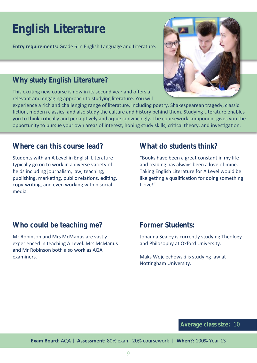# **English Literature**

**Entry requirements:** Grade 6 in English Language and Literature.

#### **Why study English Literature?**

This exciting new course is now in its second year and offers a relevant and engaging approach to studying literature. You will

experience a rich and challenging range of literature, including poetry, Shakespearean tragedy, classic fiction, modern classics, and also study the culture and history behind them. Studying Literature enables you to think critically and perceptively and argue convincingly. The coursework component gives you the opportunity to pursue your own areas of interest, honing study skills, critical theory, and investigation.

#### **Where can this course lead?**

Students with an A Level in English Literature typically go on to work in a diverse variety of fields including journalism, law, teaching, publishing, marketing, public relations, editing, copy-writing, and even working within social media.

#### **What do students think?**

"Books have been a great constant in my life and reading has always been a love of mine. Taking English Literature for A Level would be like getting a qualification for doing something I love!"

#### **Who could be teaching me?**

Mr Robinson and Mrs McManus are vastly experienced in teaching A Level. Mrs McManus and Mr Robinson both also work as AQA examiners.

#### **Former Students:**

Johanna Sealey is currently studying Theology and Philosophy at Oxford University.

Maks Wojciechowski is studying law at Nottingham University.

#### **Average class size:** 10

**Exam Board:** AQA | **Assessment:** 80% exam 20% coursework | **When?:** 100% Year 13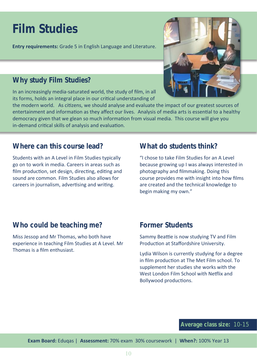# **Film Studies**

**Entry requirements:** Grade 5 in English Language and Literature.

#### **Why study Film Studies?**

In an increasingly media-saturated world, the study of film, in all its forms, holds an integral place in our critical understanding of



the modern world. As citizens, we should analyse and evaluate the impact of our greatest sources of entertainment and information as they affect our lives. Analysis of media arts is essential to a healthy democracy given that we glean so much information from visual media. This course will give you in-demand critical skills of analysis and evaluation.

#### **Where can this course lead?**

Students with an A Level in Film Studies typically go on to work in media. Careers in areas such as film production, set design, directing, editing and sound are common. Film Studies also allows for careers in journalism, advertising and writing.

#### **What do students think?**

"I chose to take Film Studies for an A Level because growing up I was always interested in photography and filmmaking. Doing this course provides me with insight into how films are created and the technical knowledge to begin making my own."

#### **Who could be teaching me?**

Miss Jessop and Mr Thomas, who both have experience in teaching Film Studies at A Level. Mr Thomas is a film enthusiast.

#### **Former Students**

Sammy Beattie is now studying TV and Film Production at Staffordshire University.

Lydia Wilson is currently studying for a degree in film production at The Met Film school. To supplement her studies she works with the West London Film School with Netflix and Bollywood productions.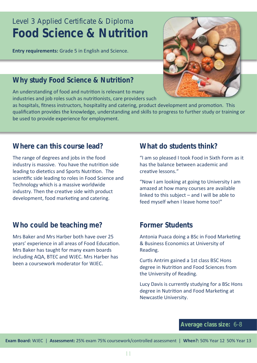### Level 3 Applied Certificate & Diploma **Food Science & Nutrition**

**Entry requirements:** Grade 5 in English and Science.

#### **Why study Food Science & Nutrition?**

An understanding of food and nutrition is relevant to many industries and job roles such as nutritionists, care providers such



as hospitals, fitness instructors, hospitality and catering, product development and promotion. This qualification provides the knowledge, understanding and skills to progress to further study or training or be used to provide experience for employment.

#### **Where can this course lead?**

The range of degrees and jobs in the food industry is massive. You have the nutrition side leading to dietetics and Sports Nutrition. The scientific side leading to roles in Food Science and Technology which is a massive worldwide industry. Then the creative side with product development, food marketing and catering.

#### **Who could be teaching me?**

Mrs Baker and Mrs Harber both have over 25 years' experience in all areas of Food Education. Mrs Baker has taught for many exam boards including AQA, BTEC and WJEC. Mrs Harber has been a coursework moderator for WJEC.

#### **What do students think?**

"I am so pleased I took Food in Sixth Form as it has the balance between academic and creative lessons."

"Now I am looking at going to University I am amazed at how many courses are available linked to this subject – and I will be able to feed myself when I leave home too!"

#### **Former Students**

Antonia Puaca doing a BSc in Food Marketing & Business Economics at University of Reading.

Curtis Antrim gained a 1st class BSC Hons degree in Nutrition and Food Sciences from the University of Reading.

Lucy Davis is currently studying for a BSc Hons degree in Nutrition and Food Marketing at Newcastle University.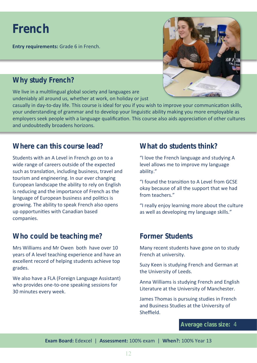### **French**

**Entry requirements:** Grade 6 in French.

#### **Why study French?**

We live in a multilingual global society and languages are undeniably all around us, whether at work, on holiday or just



casually in day-to-day life. This course is ideal for you if you wish to improve your communication skills, your understanding of grammar and to develop your linguistic ability making you more employable as employers seek people with a language qualification. This course also aids appreciation of other cultures and undoubtedly broadens horizons.

#### **Where can this course lead?**

Students with an A Level in French go on to a wide range of careers outside of the expected such as translation, including business, travel and tourism and engineering. In our ever changing European landscape the ability to rely on English is reducing and the importance of French as the language of European business and politics is growing. The ability to speak French also opens up opportunities with Canadian based companies.

#### **Who could be teaching me?**

Mrs Williams and Mr Owen both have over 10 years of A level teaching experience and have an excellent record of helping students achieve top grades.

We also have a FLA (Foreign Language Assistant) who provides one-to-one speaking sessions for 30 minutes every week.

#### **What do students think?**

"I love the French language and studying A level allows me to improve my language ability."

"I found the transition to A Level from GCSE okay because of all the support that we had from teachers."

"I really enjoy learning more about the culture as well as developing my language skills."

#### **Former Students**

Many recent students have gone on to study French at university.

Suzy Keen is studying French and German at the University of Leeds.

Anna Williams is studying French and English Literature at the University of Manchester.

James Thomas is pursuing studies in French and Business Studies at the University of **Sheffield**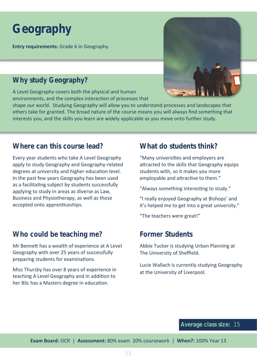# **Geography**

**Entry requirements:** Grade 6 in Geography.

#### **Why study Geography?**

A Level Geography covers both the physical and human environments, and the complex interaction of processes that



shape our world. Studying Geography will allow you to understand processes and landscapes that others take for granted. The broad nature of the course means you will always find something that interests you, and the skills you learn are widely applicable as you move onto further study.

#### **Where can this course lead?**

Every year students who take A Level Geography apply to study Geography and Geography-related degrees at university and higher education level. In the past few years Geography has been used as a facilitating subject by students successfully applying to study in areas as diverse as Law, Business and Physiotherapy, as well as those accepted onto apprenticeships.

#### **Who could be teaching me?**

Mr Bennett has a wealth of experience at A Level Geography with over 25 years of successfully preparing students for examinations.

Miss Thursby has over 8 years of experience in teaching A Level Geography and in addition to her BSc has a Masters degree in education.

#### **What do students think?**

"Many universities and employers are attracted to the skills that Geography equips students with, so it makes you more employable and attractive to them."

"Always something interesting to study."

"I really enjoyed Geography at Bishops' and it's helped me to get into a great university."

"The teachers were great!"

#### **Former Students**

Abbie Tucker is studying Urban Planning at The University of Sheffield.

Lucie Wallach is currently studying Geography at the University of Liverpool.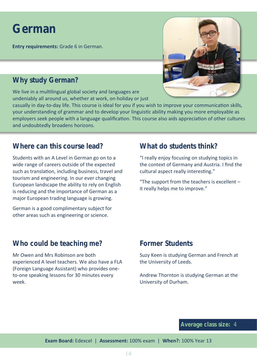### **German**

**Entry requirements:** Grade 6 in German.

#### **Why study German?**

We live in a multilingual global society and languages are undeniably all around us, whether at work, on holiday or just



casually in day-to-day life. This course is ideal for you if you wish to improve your communication skills, your understanding of grammar and to develop your linguistic ability making you more employable as employers seek people with a language qualification. This course also aids appreciation of other cultures and undoubtedly broadens horizons.

#### **Where can this course lead?**

Students with an A Level in German go on to a wide range of careers outside of the expected such as translation, including business, travel and tourism and engineering. In our ever changing European landscape the ability to rely on English is reducing and the importance of German as a major European trading language is growing.

German is a good complimentary subject for other areas such as engineering or science.

#### **What do students think?**

"I really enjoy focusing on studying topics in the context of Germany and Austria. I find the cultural aspect really interesting."

"The support from the teachers is excellent – it really helps me to improve."

#### **Who could be teaching me?**

Mr Owen and Mrs Robinson are both experienced A level teachers. We also have a FLA (Foreign Language Assistant) who provides oneto-one speaking lessons for 30 minutes every week.

#### **Former Students**

Suzy Keen is studying German and French at the University of Leeds.

Andrew Thornton is studying German at the University of Durham.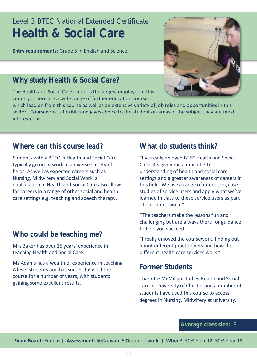### Level 3 BTEC National Extended Certificate **Health & Social Care**

**Entry requirements:** Grade 5 in English and Science.

#### **Why study Health & Social Care?**

The Health and Social Care sector is the largest employer in this country. There are a wide range of further education courses

which lead on from this course as well as an extensive variety of job roles and opportunities in this sector. Coursework is flexible and gives choice to the student on areas of the subject they are most interested in.

#### **Where can this course lead?**

Students with a BTEC in Health and Social Care typically go on to work in a diverse variety of fields. As well as expected careers such as Nursing, Midwifery and Social Work, a qualification in Health and Social Care also allows for careers in a range of other social and health care settings e.g. teaching and speech therapy.

#### **Who could be teaching me?**

Mrs Baker has over 15 years' experience in teaching Health and Social Care.

Ms Adams has a wealth of experience in teaching A level students and has successfully led the course for a number of years, with students gaining some excellent results.

#### **What do students think?**

"I've really enjoyed BTEC Health and Social Care. It's given me a much better understanding of health and social care settings and a greater awareness of careers in this field. We use a range of interesting case studies of service users and apply what we've learned in class to these service users as part of our coursework."

"The teachers make the lessons fun and challenging but are always there for guidance to help you succeed."

"I really enjoyed the coursework, finding out about different practitioners and how the different health care services work."

#### **Former Students**

Charlotte McMillan studies Health and Social Care at University of Chester and a number of students have used this course to access degrees in Nursing, Midwifery at university.

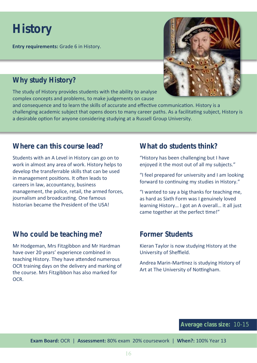### **History**

**Entry requirements:** Grade 6 in History.

#### **Why study History?**

The study of History provides students with the ability to analyse complex concepts and problems, to make judgements on cause



and consequence and to learn the skills of accurate and effective communication. History is a challenging academic subject that opens doors to many career paths. As a facilitating subject, History is a desirable option for anyone considering studying at a Russell Group University.

#### **Where can this course lead?**

Students with an A Level in History can go on to work in almost any area of work. History helps to develop the transferrable skills that can be used in management positions. It often leads to careers in law, accountancy, business management, the police, retail, the armed forces, journalism and broadcasting. One famous historian became the President of the USA!

#### **Who could be teaching me?**

Mr Hodgeman, Mrs Fitzgibbon and Mr Hardman have over 20 years' experience combined in teaching History. They have attended numerous OCR training days on the delivery and marking of the course. Mrs Fitzgibbon has also marked for O<sub>CR</sub>

#### **What do students think?**

"History has been challenging but I have enjoyed it the most out of all my subjects."

"I feel prepared for university and I am looking forward to continuing my studies in History."

"I wanted to say a big thanks for teaching me, as hard as Sixth Form was I genuinely loved learning History… I got an A overall… it all just came together at the perfect time!"

#### **Former Students**

Kieran Taylor is now studying History at the University of Sheffield.

Andrea Marin-Martinez is studying History of Art at The University of Nottingham.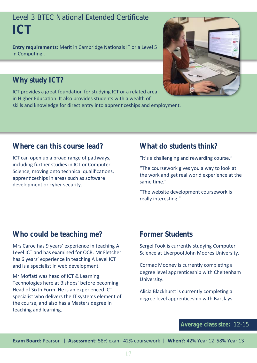### Level 3 BTEC National Extended Certificate **ICT**

**Entry requirements:** Merit in Cambridge Nationals IT or a Level 5 in Computing .



#### **Why study ICT?**

ICT provides a great foundation for studying ICT or a related area in Higher Education. It also provides students with a wealth of skills and knowledge for direct entry into apprenticeships and employment.

#### **Where can this course lead?**

ICT can open up a broad range of pathways, including further studies in ICT or Computer Science, moving onto technical qualifications, apprenticeships in areas such as software development or cyber security.

#### **What do students think?**

"It's a challenging and rewarding course."

"The coursework gives you a way to look at the work and get real world experience at the same time."

"The website development coursework is really interesting."

#### **Who could be teaching me?**

Mrs Caroe has 9 years' experience in teaching A Level ICT and has examined for OCR. Mr Fletcher has 6 years' experience in teaching A Level ICT and is a specialist in web development.

Mr Moffatt was head of ICT & Learning Technologies here at Bishops' before becoming Head of Sixth Form. He is an experienced ICT specialist who delivers the IT systems element of the course, and also has a Masters degree in teaching and learning.

#### **Former Students**

Sergei Fook is currently studying Computer Science at Liverpool John Moores University.

Cormac Mooney is currently completing a degree level apprenticeship with Cheltenham University.

Alicia Blackhurst is currently completing a degree level apprenticeship with Barclays.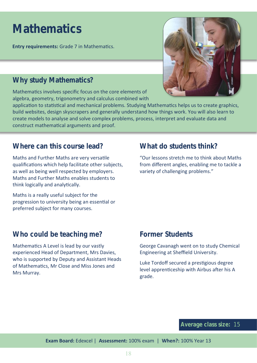## **Mathematics**

**Entry requirements:** Grade 7 in Mathematics.

#### **Why study Mathematics?**

Mathematics involves specific focus on the core elements of algebra, geometry, trigonometry and calculus combined with



application to statistical and mechanical problems. Studying Mathematics helps us to create graphics, build websites, design skyscrapers and generally understand how things work. You will also learn to create models to analyse and solve complex problems, process, interpret and evaluate data and construct mathematical arguments and proof.

#### **Where can this course lead?**

Maths and Further Maths are very versatile qualifications which help facilitate other subjects, as well as being well respected by employers. Maths and Further Maths enables students to think logically and analytically.

Maths is a really useful subject for the progression to university being an essential or preferred subject for many courses.

### **What do students think?**

"Our lessons stretch me to think about Maths from different angles, enabling me to tackle a variety of challenging problems."

#### **Who could be teaching me?**

Mathematics A Level is lead by our vastly experienced Head of Department, Mrs Davies, who is supported by Deputy and Assistant Heads of Mathematics, Mr Close and Miss Jones and Mrs Murray.

#### **Former Students**

George Cavanagh went on to study Chemical Engineering at Sheffield University.

Luke Tordoff secured a prestigious degree level apprenticeship with Airbus after his A grade.

#### **Average class size:** 15

**Exam Board:** Edexcel | **Assessment:** 100% exam | **When?:** 100% Year 13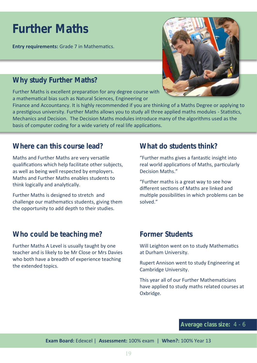### **Further Maths**

**Entry requirements:** Grade 7 in Mathematics.

#### **Why study Further Maths?**

Further Maths is excellent preparation for any degree course with a mathematical bias such as Natural Sciences, Engineering or



Finance and Accountancy. It is highly recommended if you are thinking of a Maths Degree or applying to a prestigious university. Further Maths allows you to study all three applied maths modules - Statistics, Mechanics and Decision. The Decision Maths modules introduce many of the algorithms used as the basis of computer coding for a wide variety of real life applications.

#### **Where can this course lead?**

Maths and Further Maths are very versatile qualifications which help facilitate other subjects, as well as being well respected by employers. Maths and Further Maths enables students to think logically and analytically.

Further Maths is designed to stretch and challenge our mathematics students, giving them the opportunity to add depth to their studies.

#### **What do students think?**

"Further maths gives a fantastic insight into real world applications of Maths, particularly Decision Maths."

"Further maths is a great way to see how different sections of Maths are linked and multiple possibilities in which problems can be solved."

#### **Who could be teaching me?**

Further Maths A Level is usually taught by one teacher and is likely to be Mr Close or Mrs Davies who both have a breadth of experience teaching the extended topics.

#### **Former Students**

Will Leighton went on to study Mathematics at Durham University.

Rupert Annison went to study Engineering at Cambridge University.

This year all of our Further Mathematicians have applied to study maths related courses at Oxbridge.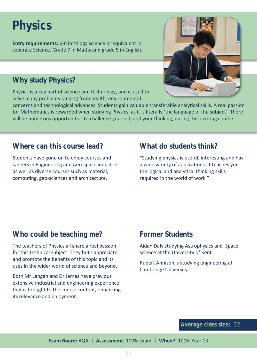# **Physics**

**Entry requirements:** 6-6 in trilogy science or equivalent in separate Science. Grade 7 in Maths and grade 5 in English.

#### **Why study Physics?**

Physics is a key part of science and technology, and is used to solve many problems ranging from health, environmental



concerns and technological advances. Students gain valuable transferable analytical skills. A real passion for Mathematics is rewarded when studying Physics, as it is literally 'the language of the subject'. There will be numerous opportunities to challenge yourself, and your thinking, during this exciting course.

#### **Where can this course lead?**

Students have gone on to enjoy courses and careers in Engineering and Aerospace industries as well as diverse courses such as material, computing, geo-sciences and architecture.

#### **What do students think?**

"Studying physics is useful, interesting and has a wide variety of applications. It teaches you the logical and analytical thinking skills required in the world of work."

#### **Who could be teaching me?**

The teachers of Physics all share a real passion for this technical subject. They both appreciate and promote the benefits of this topic and its uses in the wider world of science and beyond.

Both Mr Langan and Dr James have previous extensive industrial and engineering experience that is brought to the course content, enhancing its relevance and enjoyment.

#### **Former Students**

Aidan Daly studying Astrophysics and Space science at the University of Kent.

Rupert Annison is studying engineering at Cambridge University.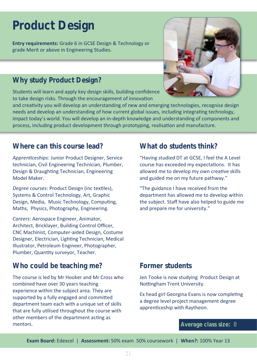### **Product Design**

**Entry requirements:** Grade 6 in GCSE Design & Technology or grade Merit or above in Engineering Studies.

#### **Why study Product Design?**

Students will learn and apply key design skills, building confidence to take design risks. Through the encouragement of innovation



and creativity you will develop an understanding of new and emerging technologies, recognise design needs and develop an understanding of how current global issues, including integrating technology, impact today's world. You will develop an in-depth knowledge and understanding of components and process, including product development through prototyping, realisation and manufacture.

#### **Where can this course lead?**

*Apprenticeships*: Junior Product Designer, Service technician, Civil Engineering Technician, Plumber, Design & Draughting Technician, Engineering Model Maker.

*Degree courses*: Product Design (inc textiles), Systems & Control Technology, Art, Graphic Design, Media, Music Technology, Computing, Maths, Physics, Photography, Engineering.

*Careers*: Aerospace Engineer, Animator, Architect, Bricklayer, Building Control Officer, CNC Machinist, Computer-aided Design, Costume Designer, Electrician, Lighting Technician, Medical Illustrator, Petroleum Engineer, Photographer, Plumber, Quantity surveyor, Teacher.

#### **Who could be teaching me?**

The course is led by Mr Hooker and Mr Cross who combined have over 30 years teaching experience within the subject area. They are supported by a fully engaged and committed department team each with a unique set of skills that are fully utilised throughout the course with other members of the department acting as mentors.

#### **What do students think?**

"Having studied DT at GCSE, I feel the A Level course has exceeded my expectations. It has allowed me to develop my own creative skills and guided me on my future pathway."

"The guidance I have received from the department has allowed me to develop within the subject. Staff have also helped to guide me and prepare me for university."

#### **Former students**

Jen Tooke is now studying Product Design at Nottingham Trent University.

Ex head girl Georgina Evans is now completing a degree level project management degree apprenticeship with Raytheon.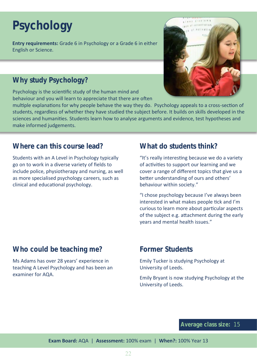# **Psychology**

**Entry requirements:** Grade 6 in Psychology or a Grade 6 in either English or Science.

#### **Why study Psychology?**

Psychology is the scientific study of the human mind and behaviour and you will learn to appreciate that there are often



multiple explanations for why people behave the way they do. Psychology appeals to a cross-section of students, regardless of whether they have studied the subject before. It builds on skills developed in the sciences and humanities. Students learn how to analyse arguments and evidence, test hypotheses and make informed judgements.

#### **Where can this course lead?**

Students with an A Level in Psychology typically go on to work in a diverse variety of fields to include police, physiotherapy and nursing, as well as more specialised psychology careers, such as clinical and educational psychology.

#### **What do students think?**

"It's really interesting because we do a variety of activities to support our learning and we cover a range of different topics that give us a better understanding of ours and others' behaviour within society."

"I chose psychology because I've always been interested in what makes people tick and I'm curious to learn more about particular aspects of the subject e.g. attachment during the early years and mental health issues."

#### **Who could be teaching me?**

Ms Adams has over 28 years' experience in teaching A Level Psychology and has been an examiner for AQA.

#### **Former Students**

Emily Tucker is studying Psychology at University of Leeds.

Emily Bryant is now studying Psychology at the University of Leeds.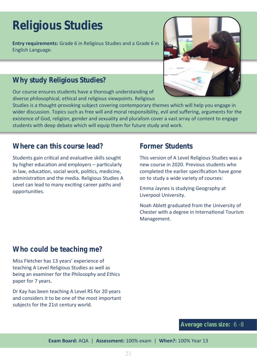# **Religious Studies**

**Entry requirements:** Grade 6 in Religious Studies and a Grade 6 in English Language.



#### **Why study Religious Studies?**

Our course ensures students have a thorough understanding of diverse philosophical, ethical and religious viewpoints. Religious

Studies is a thought-provoking subject covering contemporary themes which will help you engage in wider discussion. Topics such as free will and moral responsibility, evil and suffering, arguments for the existence of God, religion, gender and sexuality and pluralism cover a vast array of content to engage students with deep debate which will equip them for future study and work.

#### **Where can this course lead?**

Students gain critical and evaluative skills sought by higher education and employers – particularly in law, education, social work, politics, medicine, administration and the media. Religious Studies A Level can lead to many exciting career paths and opportunities.

#### **Former Students**

This version of A Level Religious Studies was a new course in 2020. Previous students who completed the earlier specification have gone on to study a wide variety of courses:

Emma Jaynes is studying Geography at Liverpool University.

Noah Ablett graduated from the University of Chester with a degree in International Tourism Management.

#### **Who could be teaching me?**

Miss Fletcher has 13 years' experience of teaching A Level Religious Studies as well as being an examiner for the Philosophy and Ethics paper for 7 years.

Dr Kay has been teaching A Level RS for 20 years and considers it to be one of the most important subjects for the 21st century world.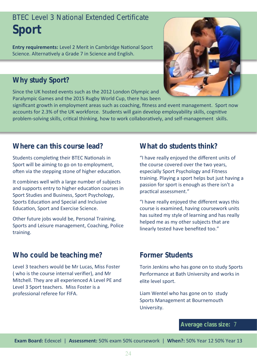### BTEC Level 3 National Extended Certificate **Sport**

**Entry requirements:** Level 2 Merit in Cambridge National Sport Science. Alternatively a Grade 7 in Science and English.

#### **Why study Sport?**

Since the UK hosted events such as the 2012 London Olympic and Paralympic Games and the 2015 Rugby World Cup, there has been



significant growth in employment areas such as coaching, fitness and event management. Sport now accounts for 2.3% of the UK workforce. Students will gain develop employability skills, cognitive problem-solving skills, critical thinking, how to work collaboratively, and self-management skills.

#### **Where can this course lead?**

Students completing their BTEC Nationals in Sport will be aiming to go on to employment, often via the stepping stone of higher education.

It combines well with a large number of subjects and supports entry to higher education courses in Sport Studies and Business, Sport Psychology, Sports Education and Special and Inclusive Education, Sport and Exercise Science.

Other future jobs would be, Personal Training, Sports and Leisure management, Coaching, Police training.

#### **Who could be teaching me?**

Level 3 teachers would be Mr Lucas, Miss Foster ( who is the course internal verifier), and Mr Mitchell. They are all experienced A Level PE and Level 3 Sport teachers. Miss Foster is a professional referee for FIFA.

#### **What do students think?**

"I have really enjoyed the different units of the course covered over the two years, especially Sport Psychology and Fitness training. Playing a sport helps but just having a passion for sport is enough as there isn't a practical assessment."

"I have really enjoyed the different ways this course is examined, having coursework units has suited my style of learning and has really helped me as my other subjects that are linearly tested have benefited too."

#### **Former Students**

Torin Jenkins who has gone on to study Sports Performance at Bath University and works in elite level sport.

Liam Wentel who has gone on to study Sports Management at Bournemouth University.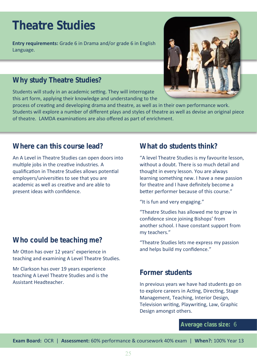### **Theatre Studies**

**Entry requirements:** Grade 6 in Drama and/or grade 6 in English Language.

#### **Why study Theatre Studies?**

Students will study in an academic setting. They will interrogate this art form, applying their knowledge and understanding to the



process of creating and developing drama and theatre, as well as in their own performance work. Students will explore a number of different plays and styles of theatre as well as devise an original piece of theatre. LAMDA examinations are also offered as part of enrichment.

#### **Where can this course lead?**

An A Level in Theatre Studies can open doors into multiple jobs in the creative industries. A qualification in Theatre Studies allows potential employers/universities to see that you are academic as well as creative and are able to present ideas with confidence.

#### **Who could be teaching me?**

Mr Otton has over 12 years' experience in teaching and examining A Level Theatre Studies.

Mr Clarkson has over 19 years experience teaching A Level Theatre Studies and is the Assistant Headteacher.

#### **What do students think?**

"A level Theatre Studies is my favourite lesson, without a doubt. There is so much detail and thought in every lesson. You are always learning something new. I have a new passion for theatre and I have definitely become a better performer because of this course."

"It is fun and very engaging."

"Theatre Studies has allowed me to grow in confidence since joining Bishops' from another school. I have constant support from my teachers."

"Theatre Studies lets me express my passion and helps build my confidence."

#### **Former students**

In previous years we have had students go on to explore careers in Acting, Directing, Stage Management, Teaching, Interior Design, Television writing, Playwriting, Law, Graphic Design amongst others.